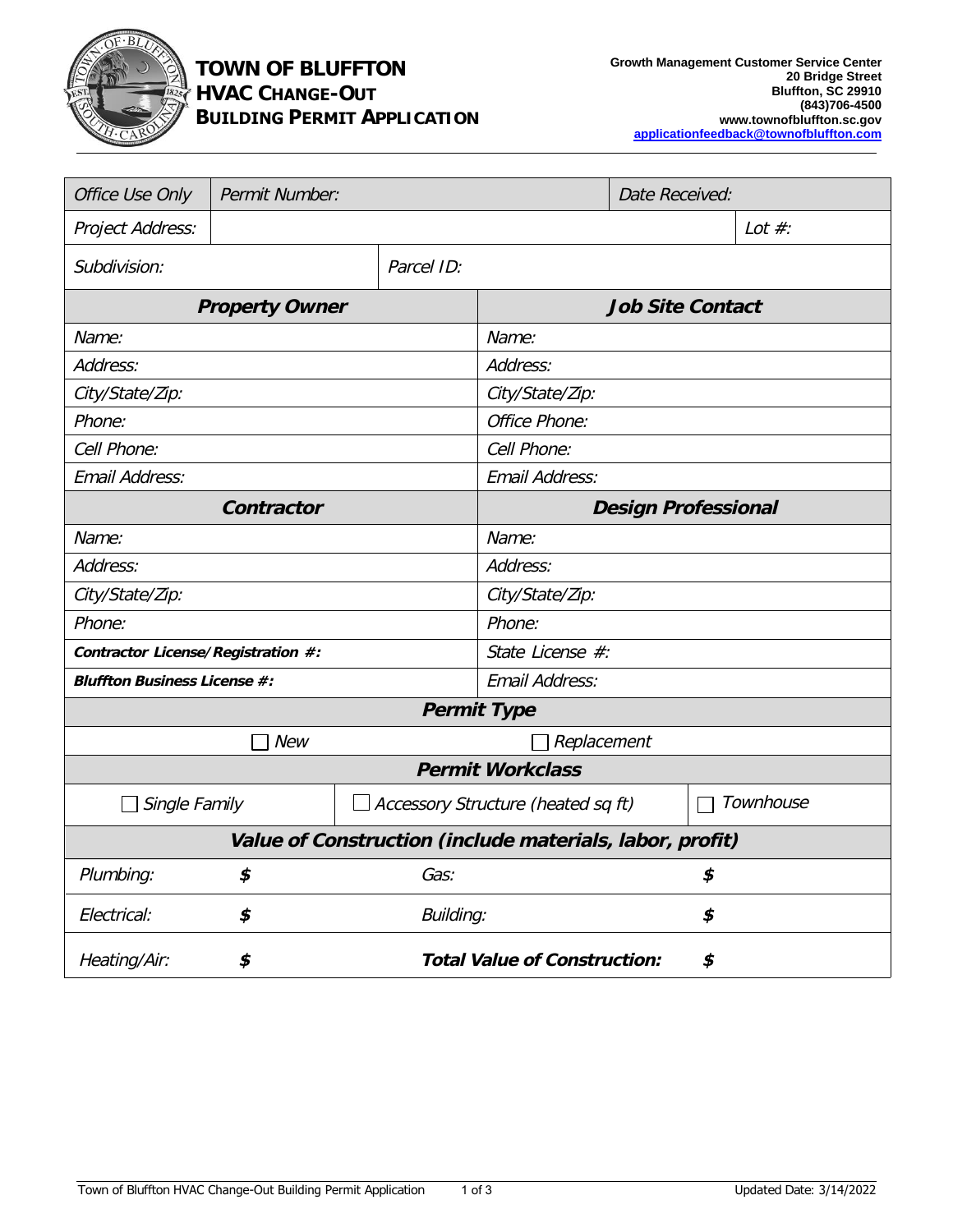

## **TOWN OF BLUFFTON HVAC CHANGE-OUT BUILDING PERMIT APPLICATION**

| <b>Office Use Only</b>                                   | <b>Permit Number:</b> |                                           |                                    | <b>Date Received:</b> |    |           |  |
|----------------------------------------------------------|-----------------------|-------------------------------------------|------------------------------------|-----------------------|----|-----------|--|
| <b>Project Address:</b>                                  |                       |                                           |                                    |                       |    | Lot $#$ : |  |
| Subdivision:                                             |                       | Parcel ID:                                |                                    |                       |    |           |  |
| <b>Property Owner</b>                                    |                       |                                           | <b>Job Site Contact</b>            |                       |    |           |  |
| Name:                                                    |                       |                                           | Name:                              |                       |    |           |  |
| Address:                                                 |                       |                                           | Address:                           |                       |    |           |  |
| City/State/Zip:                                          |                       |                                           | City/State/Zip:                    |                       |    |           |  |
| Phone:                                                   |                       |                                           | Office Phone:                      |                       |    |           |  |
| Cell Phone:                                              |                       |                                           | Cell Phone:                        |                       |    |           |  |
| <b>Email Address:</b>                                    |                       |                                           | <b>Email Address:</b>              |                       |    |           |  |
| Contractor                                               |                       |                                           | <b>Design Professional</b>         |                       |    |           |  |
| Name:                                                    |                       |                                           | Name:                              |                       |    |           |  |
| Address:                                                 |                       |                                           | Address:                           |                       |    |           |  |
| City/State/Zip:                                          |                       |                                           | City/State/Zip:                    |                       |    |           |  |
| Phone:                                                   |                       |                                           | Phone:                             |                       |    |           |  |
| Contractor License/Registration #:                       |                       |                                           | State License #:                   |                       |    |           |  |
| <b>Bluffton Business License #:</b>                      |                       |                                           | <b>Email Address:</b>              |                       |    |           |  |
| <b>Permit Type</b>                                       |                       |                                           |                                    |                       |    |           |  |
| <b>New</b><br>Replacement                                |                       |                                           |                                    |                       |    |           |  |
| <b>Permit Workclass</b>                                  |                       |                                           |                                    |                       |    |           |  |
| <b>Single Family</b>                                     |                       |                                           | Accessory Structure (heated sq ft) |                       |    | Townhouse |  |
| Value of Construction (include materials, labor, profit) |                       |                                           |                                    |                       |    |           |  |
| Plumbing:                                                | \$                    | Gas:                                      |                                    |                       | \$ |           |  |
| Electrical:                                              | \$                    | <b>Building:</b>                          |                                    | \$                    |    |           |  |
| Heating/Air:                                             | \$                    | <b>Total Value of Construction:</b><br>\$ |                                    |                       |    |           |  |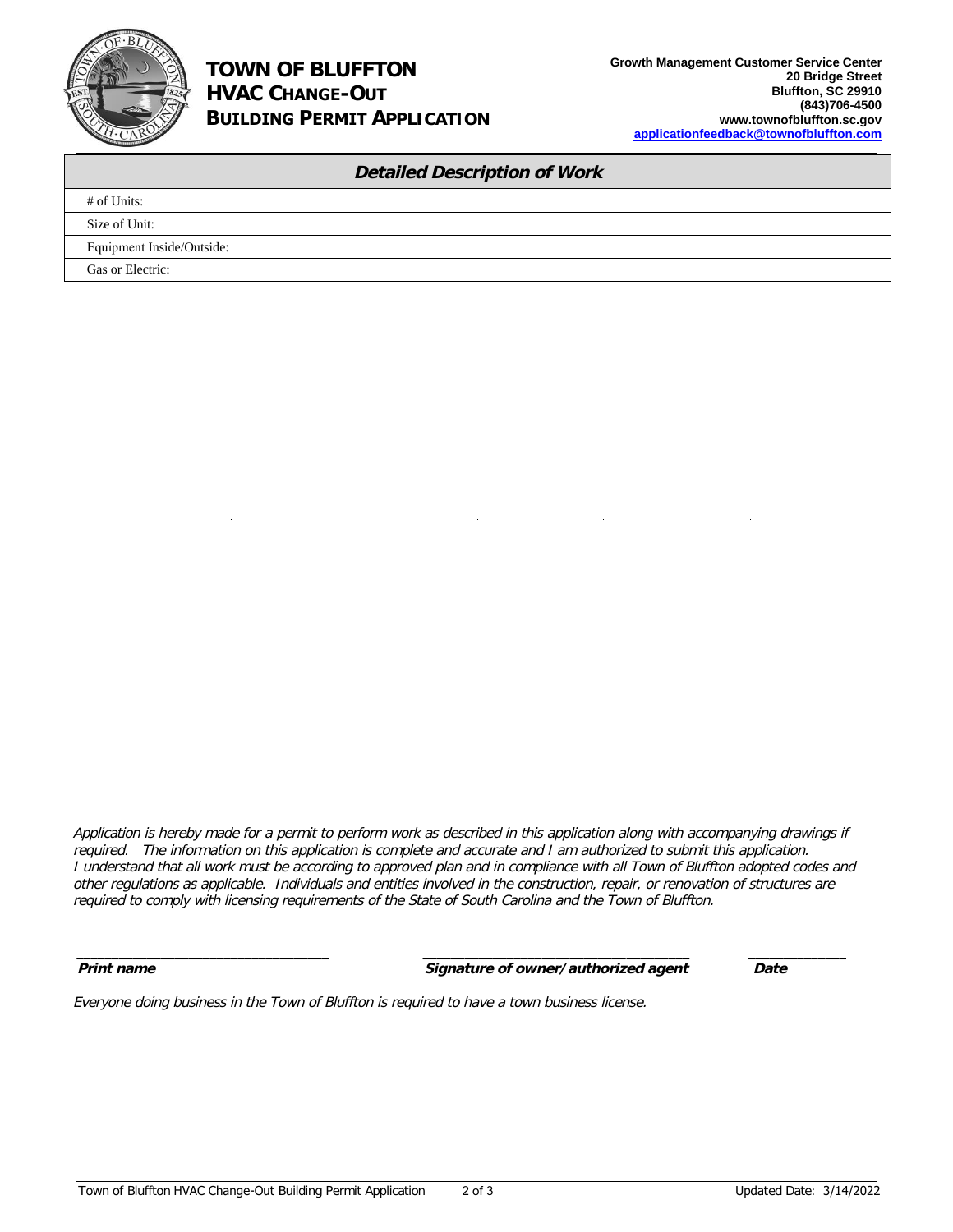

## **TOWN OF BLUFFTON HVAC CHANGE-OUT BUILDING PERMIT APPLICATION**

| <b>Detailed Description of Work</b> |                           |  |  |  |  |
|-------------------------------------|---------------------------|--|--|--|--|
|                                     | # of Units:               |  |  |  |  |
|                                     | Size of Unit:             |  |  |  |  |
|                                     | Equipment Inside/Outside: |  |  |  |  |
|                                     | Gas or Electric:          |  |  |  |  |

Application is hereby made for <sup>a</sup> permit to perform work as described in this application along with accompanying drawings if required. The information on this application is complete and accurate and I am authorized to submit this application. I understand that all work must be according to approved plan and in compliance with all Town of Bluffton adopted codes and other regulations as applicable. Individuals and entities involved in the construction, repair, or renovation of structures are required to comply with licensing requirements of the State of South Carolina and the Town of Bluffton.

*\_\_\_\_\_\_\_\_\_\_\_\_\_\_\_\_\_\_\_\_\_\_\_\_\_\_\_\_\_\_\_\_\_\_\_\_ \_\_\_\_\_\_\_\_\_\_\_\_\_\_\_\_\_\_\_\_\_\_\_\_\_\_\_\_\_\_\_\_\_\_\_\_\_\_ \_\_\_\_\_\_\_\_\_\_\_\_\_\_*

**Print name Signature of owner/authorized agent Date**

Everyone doing business in the Town of Bluffton is required to have a town business license.